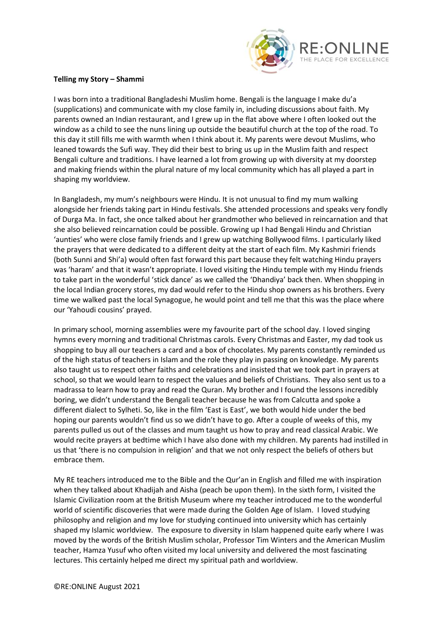

## **Telling my Story – Shammi**

I was born into a traditional Bangladeshi Muslim home. Bengali is the language I make du'a (supplications) and communicate with my close family in, including discussions about faith. My parents owned an Indian restaurant, and I grew up in the flat above where I often looked out the window as a child to see the nuns lining up outside the beautiful church at the top of the road. To this day it still fills me with warmth when I think about it. My parents were devout Muslims, who leaned towards the Sufi way. They did their best to bring us up in the Muslim faith and respect Bengali culture and traditions. I have learned a lot from growing up with diversity at my doorstep and making friends within the plural nature of my local community which has all played a part in shaping my worldview.

In Bangladesh, my mum's neighbours were Hindu. It is not unusual to find my mum walking alongside her friends taking part in Hindu festivals. She attended processions and speaks very fondly of Durga Ma. In fact, she once talked about her grandmother who believed in reincarnation and that she also believed reincarnation could be possible. Growing up I had Bengali Hindu and Christian 'aunties' who were close family friends and I grew up watching Bollywood films. I particularly liked the prayers that were dedicated to a different deity at the start of each film. My Kashmiri friends (both Sunni and Shi'a) would often fast forward this part because they felt watching Hindu prayers was 'haram' and that it wasn't appropriate. I loved visiting the Hindu temple with my Hindu friends to take part in the wonderful 'stick dance' as we called the 'Dhandiya' back then. When shopping in the local Indian grocery stores, my dad would refer to the Hindu shop owners as his brothers. Every time we walked past the local Synagogue, he would point and tell me that this was the place where our 'Yahoudi cousins' prayed.

In primary school, morning assemblies were my favourite part of the school day. I loved singing hymns every morning and traditional Christmas carols. Every Christmas and Easter, my dad took us shopping to buy all our teachers a card and a box of chocolates. My parents constantly reminded us of the high status of teachers in Islam and the role they play in passing on knowledge. My parents also taught us to respect other faiths and celebrations and insisted that we took part in prayers at school, so that we would learn to respect the values and beliefs of Christians. They also sent us to a madrassa to learn how to pray and read the Quran. My brother and I found the lessons incredibly boring, we didn't understand the Bengali teacher because he was from Calcutta and spoke a different dialect to Sylheti. So, like in the film 'East is East', we both would hide under the bed hoping our parents wouldn't find us so we didn't have to go. After a couple of weeks of this, my parents pulled us out of the classes and mum taught us how to pray and read classical Arabic. We would recite prayers at bedtime which I have also done with my children. My parents had instilled in us that 'there is no compulsion in religion' and that we not only respect the beliefs of others but embrace them.

My RE teachers introduced me to the Bible and the Qur'an in English and filled me with inspiration when they talked about Khadijah and Aisha (peach be upon them). In the sixth form, I visited the Islamic Civilization room at the British Museum where my teacher introduced me to the wonderful world of scientific discoveries that were made during the Golden Age of Islam. I loved studying philosophy and religion and my love for studying continued into university which has certainly shaped my Islamic worldview. The exposure to diversity in Islam happened quite early where I was moved by the words of the British Muslim scholar, Professor Tim Winters and the American Muslim teacher, Hamza Yusuf who often visited my local university and delivered the most fascinating lectures. This certainly helped me direct my spiritual path and worldview.